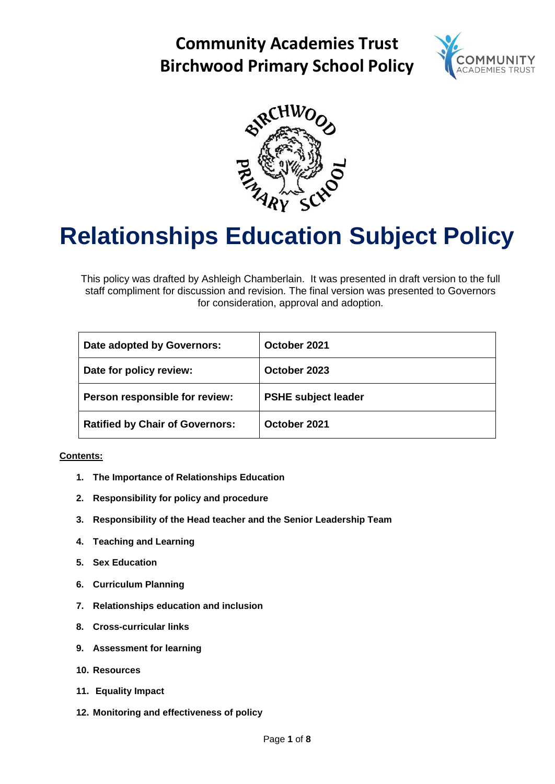# **Community Academies Trust Birchwood Primary School Policy**





# **Relationships Education Subject Policy**

This policy was drafted by Ashleigh Chamberlain. It was presented in draft version to the full staff compliment for discussion and revision. The final version was presented to Governors for consideration, approval and adoption.

| Date adopted by Governors:             | October 2021               |
|----------------------------------------|----------------------------|
| Date for policy review:                | October 2023               |
| Person responsible for review:         | <b>PSHE subject leader</b> |
| <b>Ratified by Chair of Governors:</b> | October 2021               |

#### **Contents:**

- **1. The Importance of Relationships Education**
- **2. Responsibility for policy and procedure**
- **3. Responsibility of the Head teacher and the Senior Leadership Team**
- **4. Teaching and Learning**
- **5. Sex Education**
- **6. Curriculum Planning**
- **7. Relationships education and inclusion**
- **8. Cross-curricular links**
- **9. Assessment for learning**
- **10. Resources**
- **11. Equality Impact**
- **12. Monitoring and effectiveness of policy**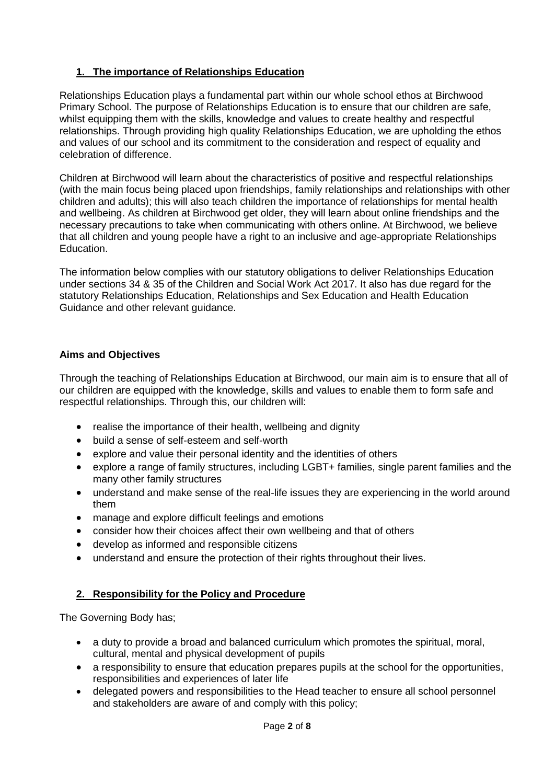# **1. The importance of Relationships Education**

Relationships Education plays a fundamental part within our whole school ethos at Birchwood Primary School. The purpose of Relationships Education is to ensure that our children are safe, whilst equipping them with the skills, knowledge and values to create healthy and respectful relationships. Through providing high quality Relationships Education, we are upholding the ethos and values of our school and its commitment to the consideration and respect of equality and celebration of difference.

Children at Birchwood will learn about the characteristics of positive and respectful relationships (with the main focus being placed upon friendships, family relationships and relationships with other children and adults); this will also teach children the importance of relationships for mental health and wellbeing. As children at Birchwood get older, they will learn about online friendships and the necessary precautions to take when communicating with others online. At Birchwood, we believe that all children and young people have a right to an inclusive and age-appropriate Relationships Education.

The information below complies with our statutory obligations to deliver Relationships Education under sections 34 & 35 of the Children and Social Work Act 2017. It also has due regard for the statutory Relationships Education, Relationships and Sex Education and Health Education Guidance and other relevant guidance.

#### **Aims and Objectives**

Through the teaching of Relationships Education at Birchwood, our main aim is to ensure that all of our children are equipped with the knowledge, skills and values to enable them to form safe and respectful relationships. Through this, our children will:

- realise the importance of their health, wellbeing and dignity
- build a sense of self-esteem and self-worth
- explore and value their personal identity and the identities of others
- explore a range of family structures, including LGBT+ families, single parent families and the many other family structures
- understand and make sense of the real-life issues they are experiencing in the world around them
- manage and explore difficult feelings and emotions
- consider how their choices affect their own wellbeing and that of others
- develop as informed and responsible citizens
- understand and ensure the protection of their rights throughout their lives.

# **2. Responsibility for the Policy and Procedure**

The Governing Body has;

- a duty to provide a broad and balanced curriculum which promotes the spiritual, moral, cultural, mental and physical development of pupils
- a responsibility to ensure that education prepares pupils at the school for the opportunities, responsibilities and experiences of later life
- delegated powers and responsibilities to the Head teacher to ensure all school personnel and stakeholders are aware of and comply with this policy;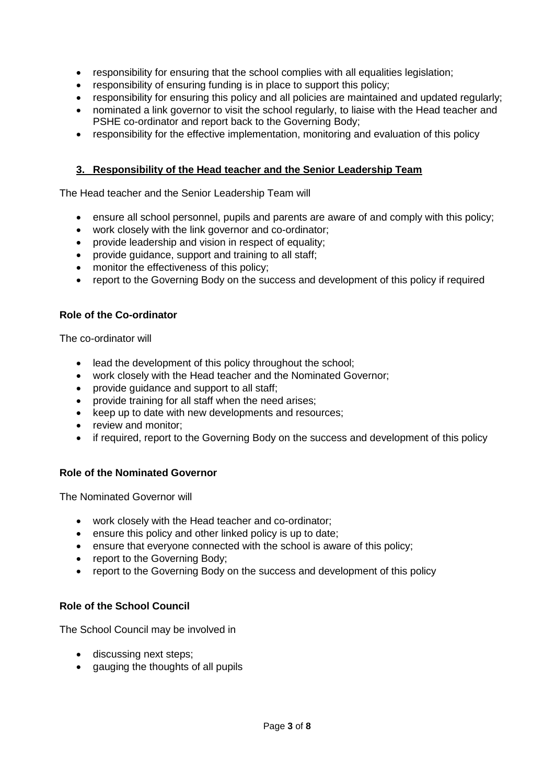- responsibility for ensuring that the school complies with all equalities legislation;
- responsibility of ensuring funding is in place to support this policy;
- responsibility for ensuring this policy and all policies are maintained and updated regularly;
- nominated a link governor to visit the school regularly, to liaise with the Head teacher and PSHE co-ordinator and report back to the Governing Body;
- responsibility for the effective implementation, monitoring and evaluation of this policy

#### **3. Responsibility of the Head teacher and the Senior Leadership Team**

The Head teacher and the Senior Leadership Team will

- ensure all school personnel, pupils and parents are aware of and comply with this policy;
- work closely with the link governor and co-ordinator;
- provide leadership and vision in respect of equality;
- provide guidance, support and training to all staff;
- monitor the effectiveness of this policy;
- report to the Governing Body on the success and development of this policy if required

#### **Role of the Co-ordinator**

The co-ordinator will

- lead the development of this policy throughout the school;
- work closely with the Head teacher and the Nominated Governor;
- provide guidance and support to all staff;
- provide training for all staff when the need arises;
- keep up to date with new developments and resources;
- review and monitor:
- if required, report to the Governing Body on the success and development of this policy

#### **Role of the Nominated Governor**

The Nominated Governor will

- work closely with the Head teacher and co-ordinator;
- ensure this policy and other linked policy is up to date;
- ensure that everyone connected with the school is aware of this policy;
- report to the Governing Body;
- report to the Governing Body on the success and development of this policy

#### **Role of the School Council**

The School Council may be involved in

- discussing next steps;
- gauging the thoughts of all pupils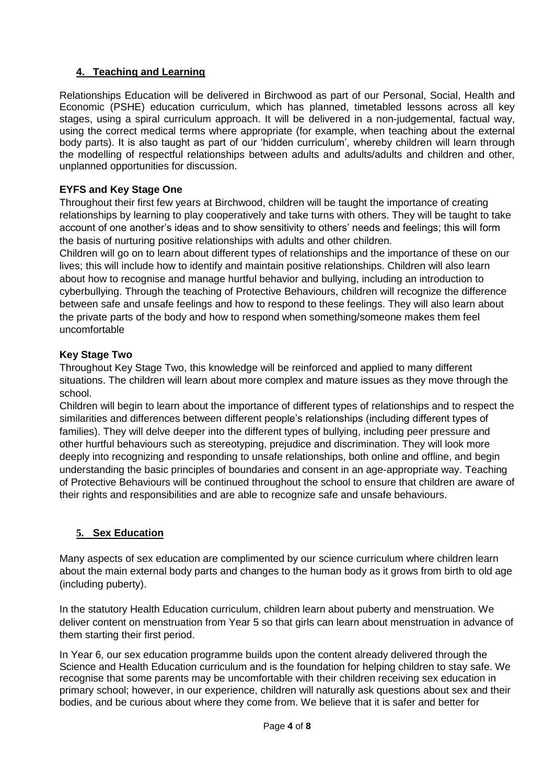# **4. Teaching and Learning**

Relationships Education will be delivered in Birchwood as part of our Personal, Social, Health and Economic (PSHE) education curriculum, which has planned, timetabled lessons across all key stages, using a spiral curriculum approach. It will be delivered in a non-judgemental, factual way, using the correct medical terms where appropriate (for example, when teaching about the external body parts). It is also taught as part of our 'hidden curriculum', whereby children will learn through the modelling of respectful relationships between adults and adults/adults and children and other, unplanned opportunities for discussion.

# **EYFS and Key Stage One**

Throughout their first few years at Birchwood, children will be taught the importance of creating relationships by learning to play cooperatively and take turns with others. They will be taught to take account of one another's ideas and to show sensitivity to others' needs and feelings; this will form the basis of nurturing positive relationships with adults and other children.

Children will go on to learn about different types of relationships and the importance of these on our lives; this will include how to identify and maintain positive relationships. Children will also learn about how to recognise and manage hurtful behavior and bullying, including an introduction to cyberbullying. Through the teaching of Protective Behaviours, children will recognize the difference between safe and unsafe feelings and how to respond to these feelings. They will also learn about the private parts of the body and how to respond when something/someone makes them feel uncomfortable

#### **Key Stage Two**

Throughout Key Stage Two, this knowledge will be reinforced and applied to many different situations. The children will learn about more complex and mature issues as they move through the school.

Children will begin to learn about the importance of different types of relationships and to respect the similarities and differences between different people's relationships (including different types of families). They will delve deeper into the different types of bullying, including peer pressure and other hurtful behaviours such as stereotyping, prejudice and discrimination. They will look more deeply into recognizing and responding to unsafe relationships, both online and offline, and begin understanding the basic principles of boundaries and consent in an age-appropriate way. Teaching of Protective Behaviours will be continued throughout the school to ensure that children are aware of their rights and responsibilities and are able to recognize safe and unsafe behaviours.

# **5. Sex Education**

Many aspects of sex education are complimented by our science curriculum where children learn about the main external body parts and changes to the human body as it grows from birth to old age (including puberty).

In the statutory Health Education curriculum, children learn about puberty and menstruation. We deliver content on menstruation from Year 5 so that girls can learn about menstruation in advance of them starting their first period.

In Year 6, our sex education programme builds upon the content already delivered through the Science and Health Education curriculum and is the foundation for helping children to stay safe. We recognise that some parents may be uncomfortable with their children receiving sex education in primary school; however, in our experience, children will naturally ask questions about sex and their bodies, and be curious about where they come from. We believe that it is safer and better for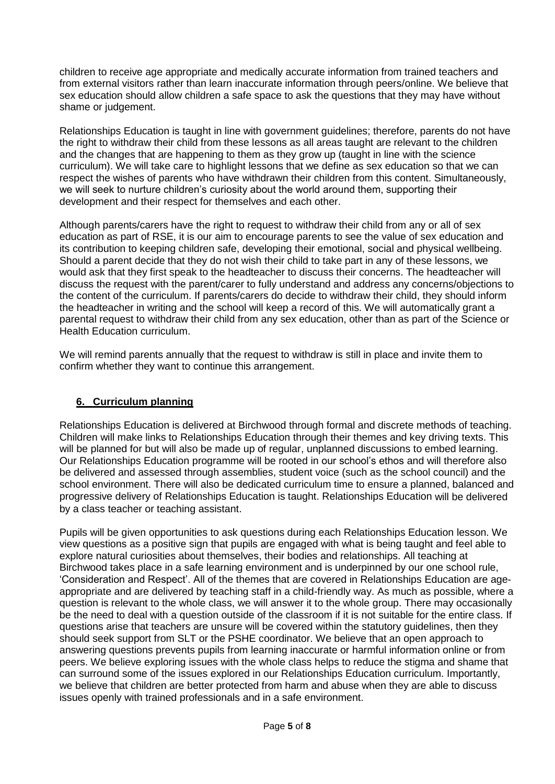children to receive age appropriate and medically accurate information from trained teachers and from external visitors rather than learn inaccurate information through peers/online. We believe that sex education should allow children a safe space to ask the questions that they may have without shame or judgement.

Relationships Education is taught in line with government guidelines; therefore, parents do not have the right to withdraw their child from these lessons as all areas taught are relevant to the children and the changes that are happening to them as they grow up (taught in line with the science curriculum). We will take care to highlight lessons that we define as sex education so that we can respect the wishes of parents who have withdrawn their children from this content. Simultaneously, we will seek to nurture children's curiosity about the world around them, supporting their development and their respect for themselves and each other.

Although parents/carers have the right to request to withdraw their child from any or all of sex education as part of RSE, it is our aim to encourage parents to see the value of sex education and its contribution to keeping children safe, developing their emotional, social and physical wellbeing. Should a parent decide that they do not wish their child to take part in any of these lessons, we would ask that they first speak to the headteacher to discuss their concerns. The headteacher will discuss the request with the parent/carer to fully understand and address any concerns/objections to the content of the curriculum. If parents/carers do decide to withdraw their child, they should inform the headteacher in writing and the school will keep a record of this. We will automatically grant a parental request to withdraw their child from any sex education, other than as part of the Science or Health Education curriculum.

We will remind parents annually that the request to withdraw is still in place and invite them to confirm whether they want to continue this arrangement.

#### **6. Curriculum planning**

Relationships Education is delivered at Birchwood through formal and discrete methods of teaching. Children will make links to Relationships Education through their themes and key driving texts. This will be planned for but will also be made up of regular, unplanned discussions to embed learning. Our Relationships Education programme will be rooted in our school's ethos and will therefore also be delivered and assessed through assemblies, student voice (such as the school council) and the school environment. There will also be dedicated curriculum time to ensure a planned, balanced and progressive delivery of Relationships Education is taught. Relationships Education will be delivered by a class teacher or teaching assistant.

Pupils will be given opportunities to ask questions during each Relationships Education lesson. We view questions as a positive sign that pupils are engaged with what is being taught and feel able to explore natural curiosities about themselves, their bodies and relationships. All teaching at Birchwood takes place in a safe learning environment and is underpinned by our one school rule, 'Consideration and Respect'. All of the themes that are covered in Relationships Education are ageappropriate and are delivered by teaching staff in a child-friendly way. As much as possible, where a question is relevant to the whole class, we will answer it to the whole group. There may occasionally be the need to deal with a question outside of the classroom if it is not suitable for the entire class. If questions arise that teachers are unsure will be covered within the statutory guidelines, then they should seek support from SLT or the PSHE coordinator. We believe that an open approach to answering questions prevents pupils from learning inaccurate or harmful information online or from peers. We believe exploring issues with the whole class helps to reduce the stigma and shame that can surround some of the issues explored in our Relationships Education curriculum. Importantly, we believe that children are better protected from harm and abuse when they are able to discuss issues openly with trained professionals and in a safe environment.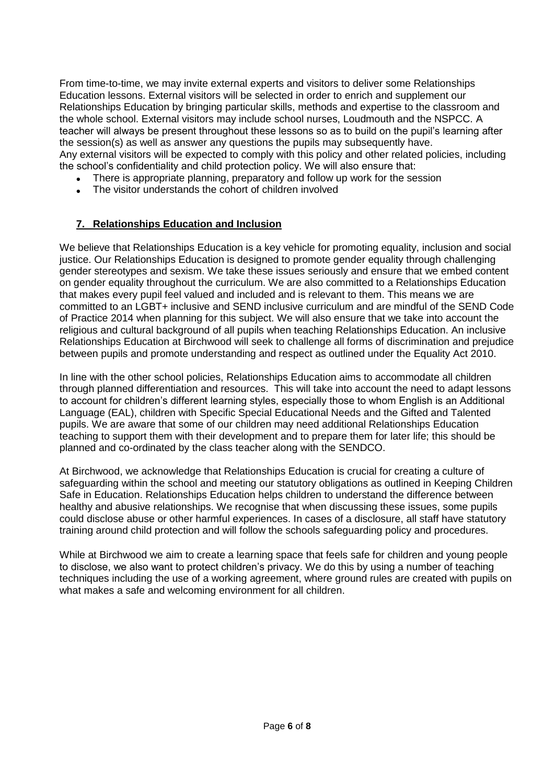From time-to-time, we may invite external experts and visitors to deliver some Relationships Education lessons. External visitors will be selected in order to enrich and supplement our Relationships Education by bringing particular skills, methods and expertise to the classroom and the whole school. External visitors may include school nurses, Loudmouth and the NSPCC. A teacher will always be present throughout these lessons so as to build on the pupil's learning after the session(s) as well as answer any questions the pupils may subsequently have. Any external visitors will be expected to comply with this policy and other related policies, including the school's confidentiality and child protection policy. We will also ensure that:

- There is appropriate planning, preparatory and follow up work for the session
- The visitor understands the cohort of children involved

#### **7. Relationships Education and Inclusion**

We believe that Relationships Education is a key vehicle for promoting equality, inclusion and social justice. Our Relationships Education is designed to promote gender equality through challenging gender stereotypes and sexism. We take these issues seriously and ensure that we embed content on gender equality throughout the curriculum. We are also committed to a Relationships Education that makes every pupil feel valued and included and is relevant to them. This means we are committed to an LGBT+ inclusive and SEND inclusive curriculum and are mindful of the SEND Code of Practice 2014 when planning for this subject. We will also ensure that we take into account the religious and cultural background of all pupils when teaching Relationships Education. An inclusive Relationships Education at Birchwood will seek to challenge all forms of discrimination and prejudice between pupils and promote understanding and respect as outlined under the Equality Act 2010.

In line with the other school policies, Relationships Education aims to accommodate all children through planned differentiation and resources. This will take into account the need to adapt lessons to account for children's different learning styles, especially those to whom English is an Additional Language (EAL), children with Specific Special Educational Needs and the Gifted and Talented pupils. We are aware that some of our children may need additional Relationships Education teaching to support them with their development and to prepare them for later life; this should be planned and co-ordinated by the class teacher along with the SENDCO.

At Birchwood, we acknowledge that Relationships Education is crucial for creating a culture of safeguarding within the school and meeting our statutory obligations as outlined in Keeping Children Safe in Education. Relationships Education helps children to understand the difference between healthy and abusive relationships. We recognise that when discussing these issues, some pupils could disclose abuse or other harmful experiences. In cases of a disclosure, all staff have statutory training around child protection and will follow the schools safeguarding policy and procedures.

While at Birchwood we aim to create a learning space that feels safe for children and young people to disclose, we also want to protect children's privacy. We do this by using a number of teaching techniques including the use of a working agreement, where ground rules are created with pupils on what makes a safe and welcoming environment for all children.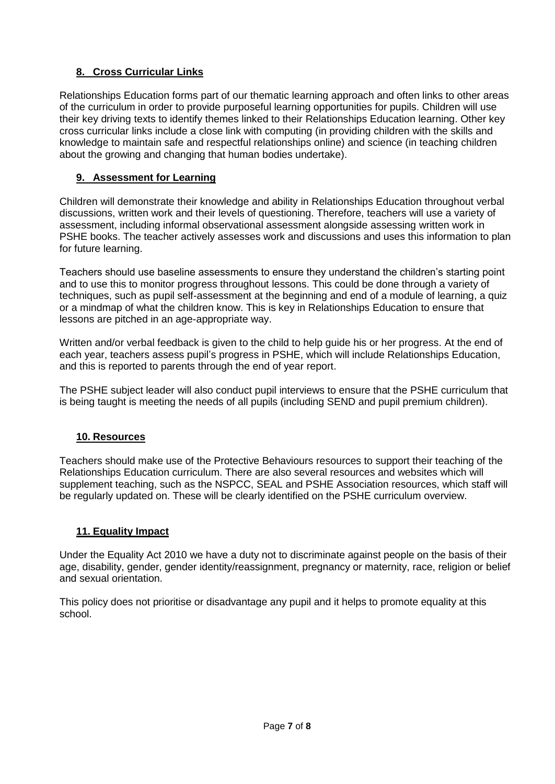## **8. Cross Curricular Links**

Relationships Education forms part of our thematic learning approach and often links to other areas of the curriculum in order to provide purposeful learning opportunities for pupils. Children will use their key driving texts to identify themes linked to their Relationships Education learning. Other key cross curricular links include a close link with computing (in providing children with the skills and knowledge to maintain safe and respectful relationships online) and science (in teaching children about the growing and changing that human bodies undertake).

#### **9. Assessment for Learning**

Children will demonstrate their knowledge and ability in Relationships Education throughout verbal discussions, written work and their levels of questioning. Therefore, teachers will use a variety of assessment, including informal observational assessment alongside assessing written work in PSHE books. The teacher actively assesses work and discussions and uses this information to plan for future learning.

Teachers should use baseline assessments to ensure they understand the children's starting point and to use this to monitor progress throughout lessons. This could be done through a variety of techniques, such as pupil self-assessment at the beginning and end of a module of learning, a quiz or a mindmap of what the children know. This is key in Relationships Education to ensure that lessons are pitched in an age-appropriate way.

Written and/or verbal feedback is given to the child to help guide his or her progress. At the end of each year, teachers assess pupil's progress in PSHE, which will include Relationships Education, and this is reported to parents through the end of year report.

The PSHE subject leader will also conduct pupil interviews to ensure that the PSHE curriculum that is being taught is meeting the needs of all pupils (including SEND and pupil premium children).

#### **10. Resources**

Teachers should make use of the Protective Behaviours resources to support their teaching of the Relationships Education curriculum. There are also several resources and websites which will supplement teaching, such as the NSPCC, SEAL and PSHE Association resources, which staff will be regularly updated on. These will be clearly identified on the PSHE curriculum overview.

#### **11. Equality Impact**

Under the Equality Act 2010 we have a duty not to discriminate against people on the basis of their age, disability, gender, gender identity/reassignment, pregnancy or maternity, race, religion or belief and sexual orientation.

This policy does not prioritise or disadvantage any pupil and it helps to promote equality at this school.